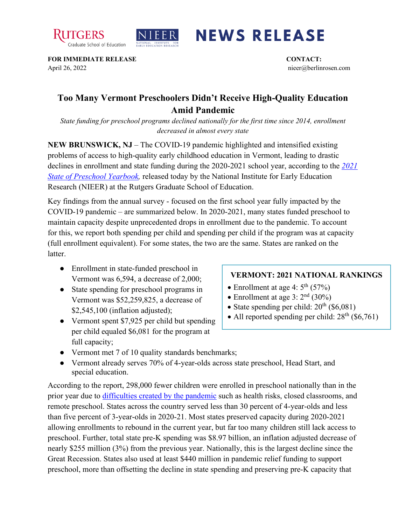



## **NEWS RELEASE**

**FOR IMMEDIATE RELEASE CONTACT:**  April 26, 2022 nieer@berlinrosen.com

## **Too Many Vermont Preschoolers Didn't Receive High-Quality Education Amid Pandemic**

*State funding for preschool programs declined nationally for the first time since 2014, enrollment decreased in almost every state*

**NEW BRUNSWICK, NJ** – The COVID-19 pandemic highlighted and intensified existing problems of access to high-quality early childhood education in Vermont, leading to drastic declines in enrollment and state funding during the 2020-2021 school year, according to the *[2021](https://nieer.org/state-preschool-yearbooks-yearbook2021)  [State of Preschool Yearbook,](https://nieer.org/state-preschool-yearbooks-yearbook2021)* released today by the National Institute for Early Education Research (NIEER) at the Rutgers Graduate School of Education.

Key findings from the annual survey - focused on the first school year fully impacted by the COVID-19 pandemic – are summarized below. In 2020-2021, many states funded preschool to maintain capacity despite unprecedented drops in enrollment due to the pandemic. To account for this, we report both spending per child and spending per child if the program was at capacity (full enrollment equivalent). For some states, the two are the same. States are ranked on the latter.

- Enrollment in state-funded preschool in Vermont was 6,594, a decrease of 2,000;
- State spending for preschool programs in Vermont was \$52,259,825, a decrease of \$2,545,100 (inflation adjusted);
- Vermont spent \$7,925 per child but spending per child equaled \$6,081 for the program at full capacity;

## **VERMONT: 2021 NATIONAL RANKINGS**

- Enrollment at age 4:  $5<sup>th</sup>$  (57%)
- Enrollment at age 3:  $2<sup>nd</sup>$  (30%)
- State spending per child:  $20^{th}$  (\$6,081)
- All reported spending per child:  $28<sup>th</sup>$  (\$6,761)
- Vermont met 7 of 10 quality standards benchmarks;
- Vermont already serves 70% of 4-year-olds across state preschool, Head Start, and special education.

According to the report, 298,000 fewer children were enrolled in preschool nationally than in the prior year due to [difficulties created by the pandemic](https://nieer.org/wp-content/uploads/2021/02/NIEER_Seven_Impacts_of_the_Pandemic_on_Young_Children_and_their_Parents.pdf) such as health risks, closed classrooms, and remote preschool. States across the country served less than 30 percent of 4-year-olds and less than five percent of 3-year-olds in 2020-21. Most states preserved capacity during 2020-2021 allowing enrollments to rebound in the current year, but far too many children still lack access to preschool. Further, total state pre-K spending was \$8.97 billion, an inflation adjusted decrease of nearly \$255 million (3%) from the previous year. Nationally, this is the largest decline since the Great Recession. States also used at least \$440 million in pandemic relief funding to support preschool, more than offsetting the decline in state spending and preserving pre-K capacity that